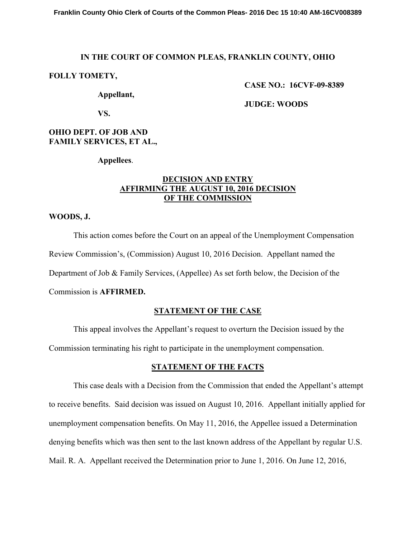# **IN THE COURT OF COMMON PLEAS, FRANKLIN COUNTY, OHIO**

### **FOLLY TOMETY,**

 **CASE NO.: 16CVF-09-8389** 

 **Appellant,** 

 **JUDGE: WOODS** 

 **VS.** 

# **OHIO DEPT. OF JOB AND FAMILY SERVICES, ET AL.,**

**Appellees**.

# **DECISION AND ENTRY AFFIRMING THE AUGUST 10, 2016 DECISION OF THE COMMISSION**

#### **WOODS, J.**

 This action comes before the Court on an appeal of the Unemployment Compensation Review Commission's, (Commission) August 10, 2016 Decision. Appellant named the Department of Job & Family Services, (Appellee) As set forth below, the Decision of the Commission is **AFFIRMED.** 

# **STATEMENT OF THE CASE**

This appeal involves the Appellant's request to overturn the Decision issued by the

Commission terminating his right to participate in the unemployment compensation.

# **STATEMENT OF THE FACTS**

 This case deals with a Decision from the Commission that ended the Appellant's attempt to receive benefits. Said decision was issued on August 10, 2016. Appellant initially applied for unemployment compensation benefits. On May 11, 2016, the Appellee issued a Determination denying benefits which was then sent to the last known address of the Appellant by regular U.S. Mail. R. A. Appellant received the Determination prior to June 1, 2016. On June 12, 2016,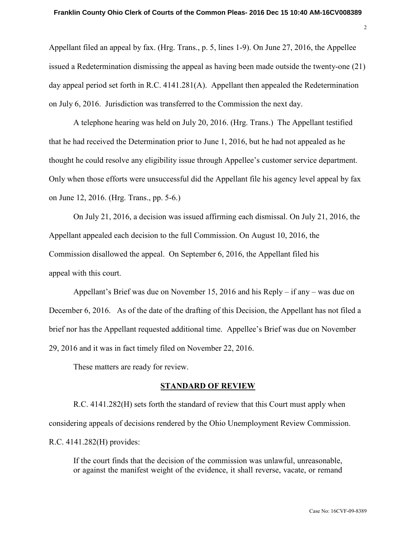Appellant filed an appeal by fax. (Hrg. Trans., p. 5, lines 1-9). On June 27, 2016, the Appellee issued a Redetermination dismissing the appeal as having been made outside the twenty-one (21) day appeal period set forth in R.C. 4141.281(A). Appellant then appealed the Redetermination on July 6, 2016. Jurisdiction was transferred to the Commission the next day.

A telephone hearing was held on July 20, 2016. (Hrg. Trans.) The Appellant testified that he had received the Determination prior to June 1, 2016, but he had not appealed as he thought he could resolve any eligibility issue through Appellee's customer service department. Only when those efforts were unsuccessful did the Appellant file his agency level appeal by fax on June 12, 2016. (Hrg. Trans., pp. 5-6.)

On July 21, 2016, a decision was issued affirming each dismissal. On July 21, 2016, the Appellant appealed each decision to the full Commission. On August 10, 2016, the Commission disallowed the appeal. On September 6, 2016, the Appellant filed his appeal with this court.

 Appellant's Brief was due on November 15, 2016 and his Reply – if any – was due on December 6, 2016. As of the date of the drafting of this Decision, the Appellant has not filed a brief nor has the Appellant requested additional time. Appellee's Brief was due on November 29, 2016 and it was in fact timely filed on November 22, 2016.

These matters are ready for review.

#### **STANDARD OF REVIEW**

 R.C. 4141.282(H) sets forth the standard of review that this Court must apply when considering appeals of decisions rendered by the Ohio Unemployment Review Commission. R.C. 4141.282(H) provides:

If the court finds that the decision of the commission was unlawful, unreasonable, or against the manifest weight of the evidence, it shall reverse, vacate, or remand 2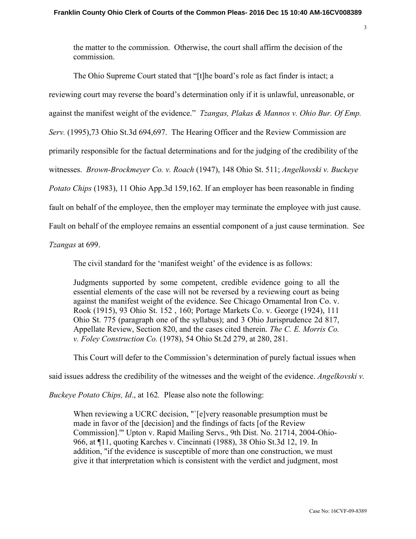the matter to the commission. Otherwise, the court shall affirm the decision of the commission.

 The Ohio Supreme Court stated that "[t]he board's role as fact finder is intact; a reviewing court may reverse the board's determination only if it is unlawful, unreasonable, or against the manifest weight of the evidence." *Tzangas, Plakas & Mannos v. Ohio Bur. Of Emp. Serv.* (1995),73 Ohio St.3d 694,697. The Hearing Officer and the Review Commission are primarily responsible for the factual determinations and for the judging of the credibility of the witnesses. *Brown-Brockmeyer Co. v. Roach* (1947), 148 Ohio St. 511; *Angelkovski v. Buckeye Potato Chips* (1983), 11 Ohio App.3d 159,162. If an employer has been reasonable in finding fault on behalf of the employee, then the employer may terminate the employee with just cause. Fault on behalf of the employee remains an essential component of a just cause termination. See

*Tzangas* at 699.

The civil standard for the 'manifest weight' of the evidence is as follows:

Judgments supported by some competent, credible evidence going to all the essential elements of the case will not be reversed by a reviewing court as being against the manifest weight of the evidence. See Chicago Ornamental Iron Co. v. Rook (1915), 93 Ohio St. 152 , 160; Portage Markets Co. v. George (1924), 111 Ohio St. 775 (paragraph one of the syllabus); and 3 Ohio Jurisprudence 2d 817, Appellate Review, Section 820, and the cases cited therein. *The C. E. Morris Co. v. Foley Construction Co.* (1978), 54 Ohio St.2d 279, at 280, 281.

This Court will defer to the Commission's determination of purely factual issues when

said issues address the credibility of the witnesses and the weight of the evidence. *Angelkovski v.* 

*Buckeye Potato Chips, Id*., at 162*.* Please also note the following:

When reviewing a UCRC decision, "`[e]very reasonable presumption must be made in favor of the [decision] and the findings of facts [of the Review Commission].'" Upton v. Rapid Mailing Servs., 9th Dist. No. 21714, 2004-Ohio-966, at ¶11, quoting Karches v. Cincinnati (1988), 38 Ohio St.3d 12, 19. In addition, "if the evidence is susceptible of more than one construction, we must give it that interpretation which is consistent with the verdict and judgment, most 3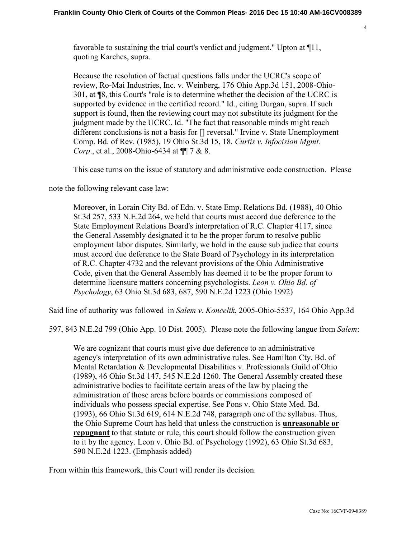favorable to sustaining the trial court's verdict and judgment." Upton at ¶11, quoting Karches, supra.

Because the resolution of factual questions falls under the UCRC's scope of review, Ro-Mai Industries, Inc. v. Weinberg, 176 Ohio App.3d 151, 2008-Ohio-301, at ¶8, this Court's "role is to determine whether the decision of the UCRC is supported by evidence in the certified record." Id., citing Durgan, supra. If such support is found, then the reviewing court may not substitute its judgment for the judgment made by the UCRC. Id. "The fact that reasonable minds might reach different conclusions is not a basis for [] reversal." Irvine v. State Unemployment Comp. Bd. of Rev. (1985), 19 Ohio St.3d 15, 18. *Curtis v. Infocision Mgmt. Corp.*, et al., 2008-Ohio-6434 at ¶ 7 & 8.

This case turns on the issue of statutory and administrative code construction. Please

note the following relevant case law:

Moreover, in Lorain City Bd. of Edn. v. State Emp. Relations Bd. (1988), 40 Ohio St.3d 257, 533 N.E.2d 264, we held that courts must accord due deference to the State Employment Relations Board's interpretation of R.C. Chapter 4117, since the General Assembly designated it to be the proper forum to resolve public employment labor disputes. Similarly, we hold in the cause sub judice that courts must accord due deference to the State Board of Psychology in its interpretation of R.C. Chapter 4732 and the relevant provisions of the Ohio Administrative Code, given that the General Assembly has deemed it to be the proper forum to determine licensure matters concerning psychologists. *Leon v. Ohio Bd. of Psychology*, 63 Ohio St.3d 683, 687, 590 N.E.2d 1223 (Ohio 1992)

Said line of authority was followed in *Salem v. Koncelik*, 2005-Ohio-5537, 164 Ohio App.3d

597, 843 N.E.2d 799 (Ohio App. 10 Dist. 2005). Please note the following langue from *Salem*:

We are cognizant that courts must give due deference to an administrative agency's interpretation of its own administrative rules. See Hamilton Cty. Bd. of Mental Retardation & Developmental Disabilities v. Professionals Guild of Ohio (1989), 46 Ohio St.3d 147, 545 N.E.2d 1260. The General Assembly created these administrative bodies to facilitate certain areas of the law by placing the administration of those areas before boards or commissions composed of individuals who possess special expertise. See Pons v. Ohio State Med. Bd. (1993), 66 Ohio St.3d 619, 614 N.E.2d 748, paragraph one of the syllabus. Thus, the Ohio Supreme Court has held that unless the construction is **unreasonable or repugnant** to that statute or rule, this court should follow the construction given to it by the agency. Leon v. Ohio Bd. of Psychology (1992), 63 Ohio St.3d 683, 590 N.E.2d 1223. (Emphasis added)

From within this framework, this Court will render its decision.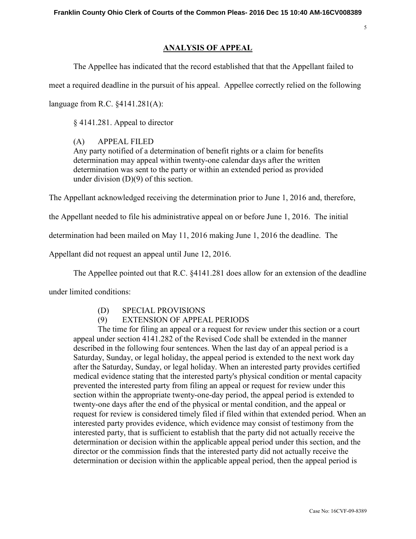### **ANALYSIS OF APPEAL**

The Appellee has indicated that the record established that that the Appellant failed to

meet a required deadline in the pursuit of his appeal. Appellee correctly relied on the following

language from R.C. §4141.281(A):

§ 4141.281. Appeal to director

(A) APPEAL FILED

Any party notified of a determination of benefit rights or a claim for benefits determination may appeal within twenty-one calendar days after the written determination was sent to the party or within an extended period as provided under division (D)(9) of this section.

The Appellant acknowledged receiving the determination prior to June 1, 2016 and, therefore,

the Appellant needed to file his administrative appeal on or before June 1, 2016. The initial

determination had been mailed on May 11, 2016 making June 1, 2016 the deadline. The

Appellant did not request an appeal until June 12, 2016.

The Appellee pointed out that R.C. §4141.281 does allow for an extension of the deadline

under limited conditions:

# (D) SPECIAL PROVISIONS

# (9) EXTENSION OF APPEAL PERIODS

The time for filing an appeal or a request for review under this section or a court appeal under section 4141.282 of the Revised Code shall be extended in the manner described in the following four sentences. When the last day of an appeal period is a Saturday, Sunday, or legal holiday, the appeal period is extended to the next work day after the Saturday, Sunday, or legal holiday. When an interested party provides certified medical evidence stating that the interested party's physical condition or mental capacity prevented the interested party from filing an appeal or request for review under this section within the appropriate twenty-one-day period, the appeal period is extended to twenty-one days after the end of the physical or mental condition, and the appeal or request for review is considered timely filed if filed within that extended period. When an interested party provides evidence, which evidence may consist of testimony from the interested party, that is sufficient to establish that the party did not actually receive the determination or decision within the applicable appeal period under this section, and the director or the commission finds that the interested party did not actually receive the determination or decision within the applicable appeal period, then the appeal period is

5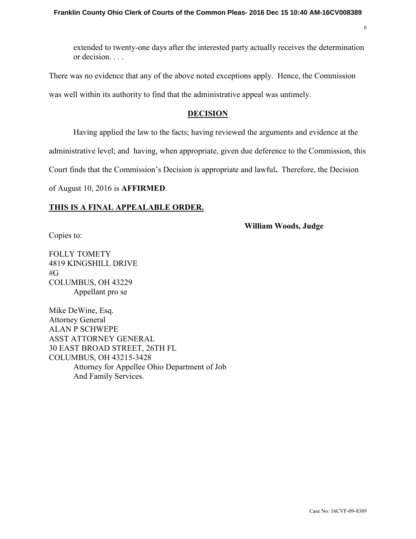extended to twenty-one days after the interested party actually receives the determination or decision. . . .

There was no evidence that any of the above noted exceptions apply. Hence, the Commission was well within its authority to find that the administrative appeal was untimely.

### **DECISION**

Having applied the law to the facts; having reviewed the arguments and evidence at the

administrative level; and having, when appropriate, given due deference to the Commission, this

Court finds that the Commission's Decision is appropriate and lawful**.** Therefore, the Decision

of August 10, 2016 is **AFFIRMED**.

### **THIS IS A FINAL APPEALABLE ORDER.**

**William Woods, Judge** 

6

Copies to:

FOLLY TOMETY 4819 KINGSHILL DRIVE #G COLUMBUS, OH 43229 Appellant pro se

Mike DeWine, Esq. Attorney General ALAN P SCHWEPE ASST ATTORNEY GENERAL 30 EAST BROAD STREET, 26TH FL COLUMBUS, OH 43215-3428 Attorney for Appellee Ohio Department of Job And Family Services.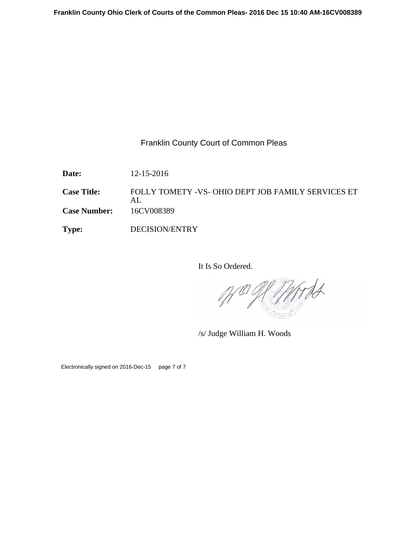Franklin County Court of Common Pleas

**Date:** 12-15-2016

**Case Title:** FOLLY TOMETY -VS- OHIO DEPT JOB FAMILY SERVICES ET AL **Case Number:** 16CV008389

**Type:** DECISION/ENTRY

It Is So Ordered.

Mrds

/s/ Judge William H. Woods

Electronically signed on 2016-Dec-15 page 7 of 7